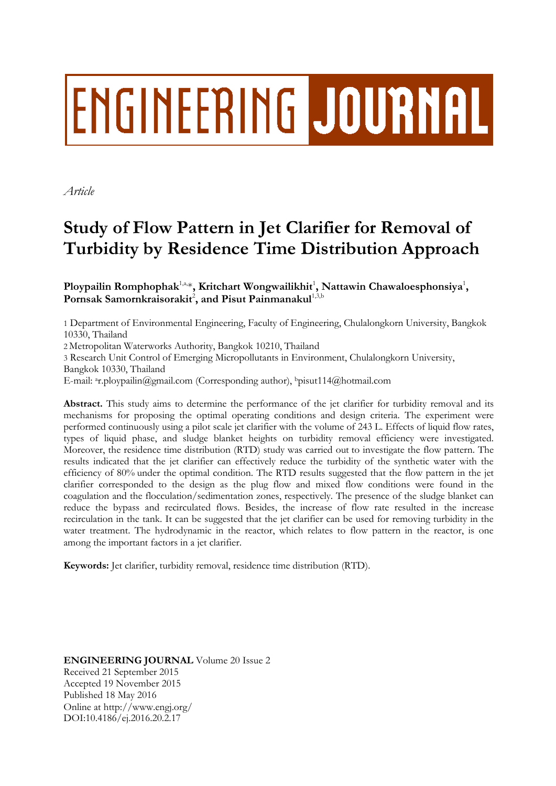# ENGINEERING JOURNAL

*Article*

# **Study of Flow Pattern in Jet Clarifier for Removal of Turbidity by Residence Time Distribution Approach**

Ploypailin Romphophak<sup>1,a,\*</sup>, Kritchart Wongwailikhit<sup>1</sup>, Nattawin Chawaloesphonsiya<sup>1</sup>, Pornsak Samornkraisorakit<sup>2</sup>, and Pisut Painmanakul<sup>1,3,b</sup>

1 Department of Environmental Engineering, Faculty of Engineering, Chulalongkorn University, Bangkok 10330, Thailand

2 Metropolitan Waterworks Authority, Bangkok 10210, Thailand

3 Research Unit Control of Emerging Micropollutants in Environment, Chulalongkorn University, Bangkok 10330, Thailand

E-mail: <sup>a</sup>r.ploypailin@gmail.com (Corresponding author), <sup>b</sup>pisut114@hotmail.com

**Abstract.** This study aims to determine the performance of the jet clarifier for turbidity removal and its mechanisms for proposing the optimal operating conditions and design criteria. The experiment were performed continuously using a pilot scale jet clarifier with the volume of 243 L. Effects of liquid flow rates, types of liquid phase, and sludge blanket heights on turbidity removal efficiency were investigated. Moreover, the residence time distribution (RTD) study was carried out to investigate the flow pattern. The results indicated that the jet clarifier can effectively reduce the turbidity of the synthetic water with the efficiency of 80% under the optimal condition. The RTD results suggested that the flow pattern in the jet clarifier corresponded to the design as the plug flow and mixed flow conditions were found in the coagulation and the flocculation/sedimentation zones, respectively. The presence of the sludge blanket can reduce the bypass and recirculated flows. Besides, the increase of flow rate resulted in the increase recirculation in the tank. It can be suggested that the jet clarifier can be used for removing turbidity in the water treatment. The hydrodynamic in the reactor, which relates to flow pattern in the reactor, is one among the important factors in a jet clarifier.

**Keywords:** Jet clarifier, turbidity removal, residence time distribution (RTD).

**ENGINEERING JOURNAL** Volume 20 Issue 2 Received 21 September 2015 Accepted 19 November 2015 Published 18 May 2016 Online at http://www.engj.org/ DOI:10.4186/ej.2016.20.2.17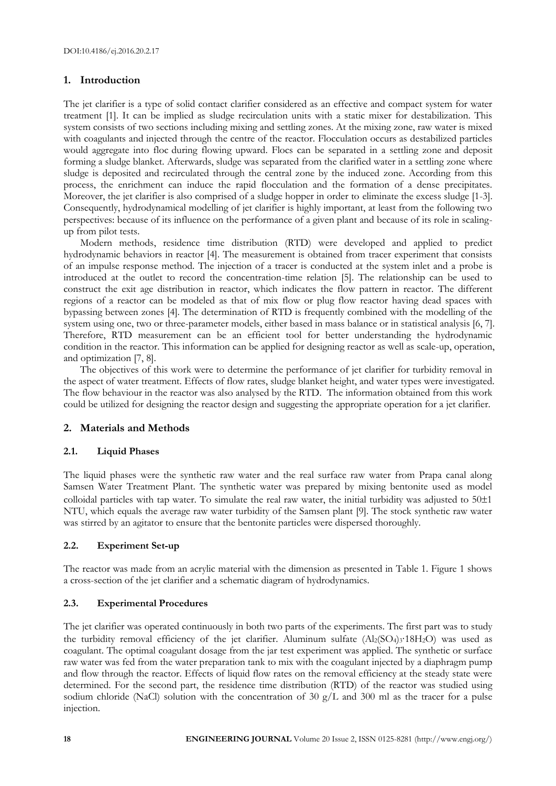# **1. Introduction**

The jet clarifier is a type of solid contact clarifier considered as an effective and compact system for water treatment [1]. It can be implied as sludge recirculation units with a static mixer for destabilization. This system consists of two sections including mixing and settling zones. At the mixing zone, raw water is mixed with coagulants and injected through the centre of the reactor. Flocculation occurs as destabilized particles would aggregate into floc during flowing upward. Flocs can be separated in a settling zone and deposit forming a sludge blanket. Afterwards, sludge was separated from the clarified water in a settling zone where sludge is deposited and recirculated through the central zone by the induced zone. According from this process, the enrichment can induce the rapid flocculation and the formation of a dense precipitates. Moreover, the jet clarifier is also comprised of a sludge hopper in order to eliminate the excess sludge [1-3]. Consequently, hydrodynamical modelling of jet clarifier is highly important, at least from the following two perspectives: because of its influence on the performance of a given plant and because of its role in scalingup from pilot tests.

Modern methods, residence time distribution (RTD) were developed and applied to predict hydrodynamic behaviors in reactor [4]. The measurement is obtained from tracer experiment that consists of an impulse response method. The injection of a tracer is conducted at the system inlet and a probe is introduced at the outlet to record the concentration-time relation [5]. The relationship can be used to construct the exit age distribution in reactor, which indicates the flow pattern in reactor. The different regions of a reactor can be modeled as that of mix flow or plug flow reactor having dead spaces with bypassing between zones [4]. The determination of RTD is frequently combined with the modelling of the system using one, two or three-parameter models, either based in mass balance or in statistical analysis [6, 7]. Therefore, RTD measurement can be an efficient tool for better understanding the hydrodynamic condition in the reactor. This information can be applied for designing reactor as well as scale-up, operation, and optimization [7, 8].

The objectives of this work were to determine the performance of jet clarifier for turbidity removal in the aspect of water treatment. Effects of flow rates, sludge blanket height, and water types were investigated. The flow behaviour in the reactor was also analysed by the RTD. The information obtained from this work could be utilized for designing the reactor design and suggesting the appropriate operation for a jet clarifier.

# **2. Materials and Methods**

# **2.1. Liquid Phases**

The liquid phases were the synthetic raw water and the real surface raw water from Prapa canal along Samsen Water Treatment Plant. The synthetic water was prepared by mixing bentonite used as model colloidal particles with tap water. To simulate the real raw water, the initial turbidity was adjusted to  $50\pm1$ NTU, which equals the average raw water turbidity of the Samsen plant [9]. The stock synthetic raw water was stirred by an agitator to ensure that the bentonite particles were dispersed thoroughly.

# **2.2. Experiment Set-up**

The reactor was made from an acrylic material with the dimension as presented in Table 1. Figure 1 shows a cross-section of the jet clarifier and a schematic diagram of hydrodynamics.

# **2.3. Experimental Procedures**

The jet clarifier was operated continuously in both two parts of the experiments. The first part was to study the turbidity removal efficiency of the jet clarifier. Aluminum sulfate (Al2(SO4)3<sup>∙18H2</sup>O) was used as coagulant. The optimal coagulant dosage from the jar test experiment was applied. The synthetic or surface raw water was fed from the water preparation tank to mix with the coagulant injected by a diaphragm pump and flow through the reactor. Effects of liquid flow rates on the removal efficiency at the steady state were determined. For the second part, the residence time distribution (RTD) of the reactor was studied using sodium chloride (NaCl) solution with the concentration of 30  $g/L$  and 300 ml as the tracer for a pulse injection.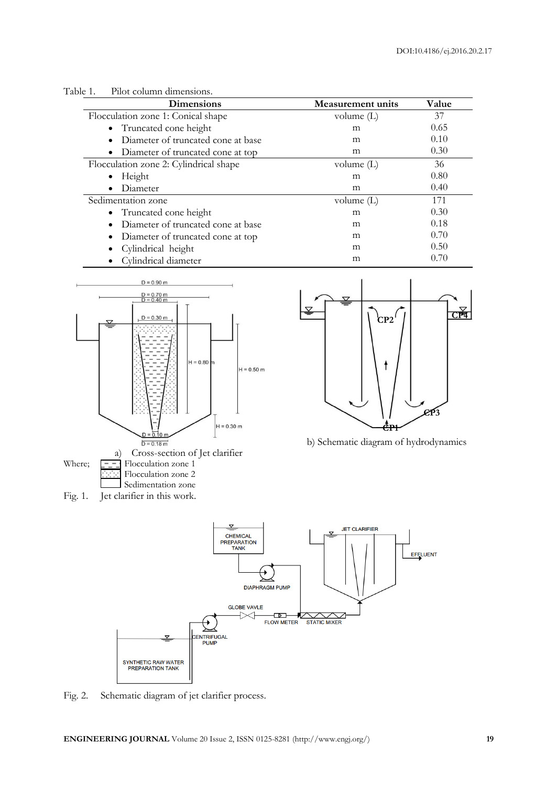

| <b>Dimensions</b>                      | <b>Measurement units</b> | Value |
|----------------------------------------|--------------------------|-------|
| Flocculation zone 1: Conical shape     | volume $(L)$             | 37    |
| • Truncated cone height                | m                        | 0.65  |
| Diameter of truncated cone at base     | m                        | 0.10  |
| • Diameter of truncated cone at top    | m                        | 0.30  |
| Flocculation zone 2: Cylindrical shape | volume $(L)$             | 36    |
| Height                                 | m                        | 0.80  |
| Diameter                               | m                        | 0.40  |
| Sedimentation zone                     | volume $(L)$             | 171   |
| • Truncated cone height                | m                        | 0.30  |
| Diameter of truncated cone at base     | m                        | 0.18  |
| • Diameter of truncated cone at top    | m                        | 0.70  |
| • Cylindrical height                   | m                        | 0.50  |
| Cylindrical diameter                   | m                        | 0.70  |





b) Schematic diagram of hydrodynamics



Fig. 2. Schematic diagram of jet clarifier process.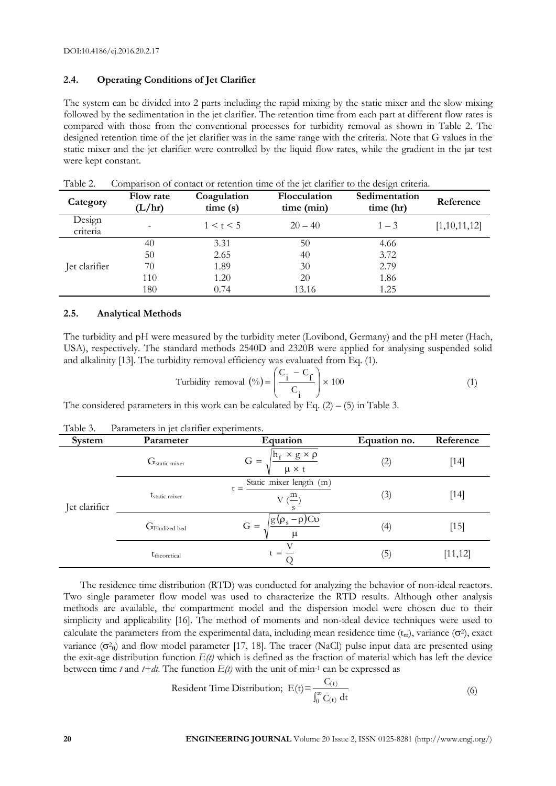# **2.4. Operating Conditions of Jet Clarifier**

The system can be divided into 2 parts including the rapid mixing by the static mixer and the slow mixing followed by the sedimentation in the jet clarifier. The retention time from each part at different flow rates is compared with those from the conventional processes for turbidity removal as shown in Table 2. The designed retention time of the jet clarifier was in the same range with the criteria. Note that G values in the static mixer and the jet clarifier were controlled by the liquid flow rates, while the gradient in the jar test were kept constant.

| Category           | Flow rate<br>(L/hr) | Coagulation<br>time(s) | Flocculation<br>time (min) | Sedimentation<br>time (hr) | Reference    |
|--------------------|---------------------|------------------------|----------------------------|----------------------------|--------------|
| Design<br>criteria |                     | 1 < t < 5              | $20 - 40$                  | $1 - 3$                    | [1,10,11,12] |
|                    | 40                  | 3.31                   | 50                         | 4.66                       |              |
|                    | 50                  | 2.65                   | 40                         | 3.72                       |              |
| Jet clarifier      | 70                  | 1.89                   | 30                         | 2.79                       |              |
|                    | 110                 | 1.20                   | 20                         | 1.86                       |              |
|                    | 180                 | 0.74                   | 13.16                      | 1.25                       |              |

Table 2. Comparison of contact or retention time of the jet clarifier to the design criteria.

#### **2.5. Analytical Methods**

The turbidity and pH were measured by the turbidity meter (Lovibond, Germany) and the pH meter (Hach, USA), respectively. The standard methods 2540D and 2320B were applied for analysing suspended solid and alkalinity [13]. The turbidity removal efficiency was evaluated from Eq. (1).

Turbidity removal 
$$
(\%) = \left(\frac{C_i - C_f}{C_i}\right) \times 100
$$
 (1)

The considered parameters in this work can be calculated by Eq.  $(2) - (5)$  in Table 3.

| Table 3. |  |  | Parameters in jet clarifier experiments. |
|----------|--|--|------------------------------------------|
|          |  |  |                                          |

| System        | Parameter                 | Equation                                                            | Equation no. | Reference |
|---------------|---------------------------|---------------------------------------------------------------------|--------------|-----------|
| Jet clarifier | $G_{\text{static mixer}}$ | $h_f \times g \times \rho$<br>$G =$<br>$\mu \times t$               | (2)          | $[14]$    |
|               | t <sub>static</sub> mixer | Static mixer length (m)<br>$t =$<br>$V(\frac{m}{2})$                | (3)          | $[14]$    |
|               | G <sub>Fludized</sub> bed | $G = \sqrt{\frac{g(\rho_s - \rho)Cv}{g(\rho_s - \rho)Cv}}$<br>$\mu$ | (4)          | $[15]$    |
|               | t <sub>theoretical</sub>  | $=$                                                                 | (5)          | [11, 12]  |

The residence time distribution (RTD) was conducted for analyzing the behavior of non-ideal reactors. Two single parameter flow model was used to characterize the RTD results. Although other analysis methods are available, the compartment model and the dispersion model were chosen due to their simplicity and applicability [16]. The method of moments and non-ideal device techniques were used to calculate the parameters from the experimental data, including mean residence time  $(t_m)$ , variance  $(\sigma^2)$ , exact variance  $(\sigma^2_{\theta})$  and flow model parameter [17, 18]. The tracer (NaCl) pulse input data are presented using the exit-age distribution function  $E(t)$  which is defined as the fraction of material which has left the device between time *t* and  $t+dt$ . The function  $E(t)$  with the unit of min<sup>-1</sup> can be expressed as

Resident Time Distribution; 
$$
E(t) = \frac{C_{(t)}}{\int_0^\infty C_{(t)} dt}
$$
 (6)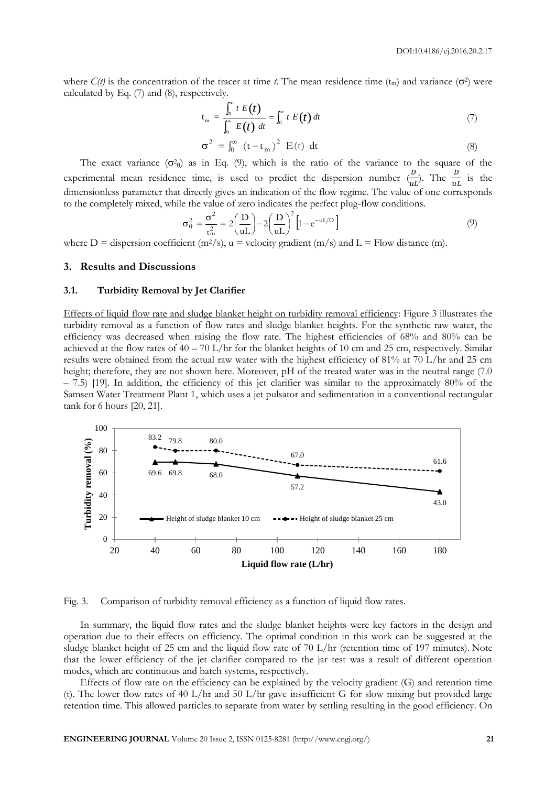where  $C(t)$  is the concentration of the tracer at time *t*. The mean residence time  $(t_m)$  and variance  $(\sigma^2)$  were calculated by Eq. (7) and (8), respectively.

$$
t_m = \frac{\int_0^\infty t E(t)}{\int_0^\infty E(t) dt} = \int_0^\infty t E(t) dt
$$
 (7)

$$
\sigma^2 = \int_0^\infty (t - t_m)^2 E(t) dt
$$
 (8)

The exact variance  $(\sigma^2)$  as in Eq. (9), which is the ratio of the variance to the square of the experimental mean residence time, is used to predict the dispersion number  $\left(\frac{D}{\omega}\right)$  $\frac{d^2v}{dt}$ . The  $\frac{d^2v}{dt}$  is the dimensionless parameter that directly gives an indication of the flow regime. The value of one corresponds to the completely mixed, while the value of zero indicates the perfect plug-flow conditions.

$$
\sigma_{\theta}^2 = \frac{\sigma^2}{t_m^2} = 2\left(\frac{D}{uL}\right) - 2\left(\frac{D}{uL}\right)^2 \left[1 - e^{-uI/D}\right]
$$
\n(9)

where D = dispersion coefficient ( $m^2/s$ ), u = velocity gradient ( $m/s$ ) and L = Flow distance (m).

#### **3. Results and Discussions**

#### **3.1. Turbidity Removal by Jet Clarifier**

Effects of liquid flow rate and sludge blanket height on turbidity removal efficiency: Figure 3 illustrates the turbidity removal as a function of flow rates and sludge blanket heights. For the synthetic raw water, the efficiency was decreased when raising the flow rate. The highest efficiencies of 68% and 80% can be achieved at the flow rates of  $40 - 70$  L/hr for the blanket heights of 10 cm and 25 cm, respectively. Similar results were obtained from the actual raw water with the highest efficiency of 81% at 70 L/hr and 25 cm height; therefore, they are not shown here. Moreover, pH of the treated water was in the neutral range (7.0) – 7.5) [19]. In addition, the efficiency of this jet clarifier was similar to the approximately 80% of the Samsen Water Treatment Plant 1, which uses a jet pulsator and sedimentation in a conventional rectangular tank for 6 hours [20, 21].



Fig. 3. Comparison of turbidity removal efficiency as a function of liquid flow rates.

In summary, the liquid flow rates and the sludge blanket heights were key factors in the design and operation due to their effects on efficiency. The optimal condition in this work can be suggested at the sludge blanket height of 25 cm and the liquid flow rate of 70 L/hr (retention time of 197 minutes). Note that the lower efficiency of the jet clarifier compared to the jar test was a result of different operation modes, which are continuous and batch systems, respectively.

Effects of flow rate on the efficiency can be explained by the velocity gradient (G) and retention time (t). The lower flow rates of 40 L/hr and 50 L/hr gave insufficient G for slow mixing but provided large retention time. This allowed particles to separate from water by settling resulting in the good efficiency. On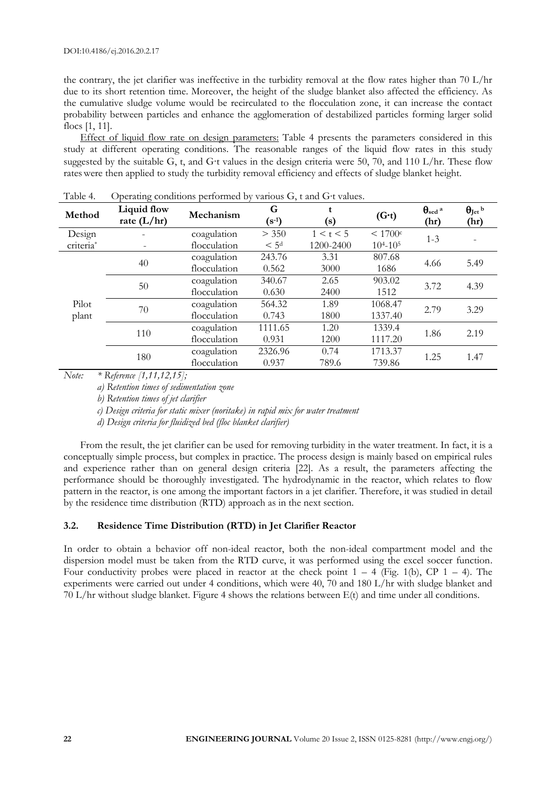the contrary, the jet clarifier was ineffective in the turbidity removal at the flow rates higher than 70 L/hr due to its short retention time. Moreover, the height of the sludge blanket also affected the efficiency. As the cumulative sludge volume would be recirculated to the flocculation zone, it can increase the contact probability between particles and enhance the agglomeration of destabilized particles forming larger solid flocs [1, 11].

Effect of liquid flow rate on design parameters: Table 4 presents the parameters considered in this study at different operating conditions. The reasonable ranges of the liquid flow rates in this study suggested by the suitable G, t, and G∙t values in the design criteria were 50, 70, and 110 L/hr. These flow rateswere then applied to study the turbidity removal efficiency and effects of sludge blanket height.

| <b>TAURT.</b> | Operating conditions performed by various O, I and O I values. |              |                  |           |                   |                              |                        |
|---------------|----------------------------------------------------------------|--------------|------------------|-----------|-------------------|------------------------------|------------------------|
| Method        | Liquid flow<br>rate $(L/hr)$                                   | Mechanism    | G<br>$(s-1)$     | (s)       | $(G-t)$           | $\theta_{\rm sed}$ a<br>(hr) | $\theta$ Jet b<br>(hr) |
| Design        |                                                                | coagulation  | > 350            | 1 < t < 5 | < 1700c           | $1 - 3$                      |                        |
| criteria*     |                                                                | flocculation | < 5 <sup>d</sup> | 1200-2400 | $10^{4} - 10^{5}$ |                              |                        |
|               |                                                                | coagulation  | 243.76           | 3.31      | 807.68            |                              |                        |
| 40            | flocculation                                                   | 0.562        | 3000             | 1686      | 4.66              | 5.49                         |                        |
|               | coagulation                                                    | 340.67       | 2.65             | 903.02    |                   |                              |                        |
|               | 50                                                             | flocculation | 0.630            | 2400      | 1512              | 3.72                         | 4.39                   |
| Pilot         |                                                                | coagulation  | 564.32           | 1.89      | 1068.47           |                              |                        |
| plant         | 70                                                             | flocculation | 0.743            | 1800      | 1337.40           | 2.79                         | 3.29                   |
| 110           | coagulation                                                    | 1111.65      | 1.20             | 1339.4    |                   |                              |                        |
|               |                                                                | flocculation | 0.931            | 1200      | 1117.20           | 1.86                         | 2.19                   |
| 180           |                                                                | coagulation  | 2326.96          | 0.74      | 1713.37           |                              |                        |
|               |                                                                | flocculation | 0.937            | 789.6     | 739.86            | 1.25                         | 1.47                   |

Table 4. Operating conditions performed by various G, t and G∙t values.

*Note: \* Reference [1,11,12,15];* 

*a) Retention times of sedimentation zone*

*b) Retention times of jet clarifier*

*c) Design criteria for static mixer (noritake) in rapid mix for water treatment*

*d) Design criteria for fluidized bed (floc blanket clarifier)*

From the result, the jet clarifier can be used for removing turbidity in the water treatment. In fact, it is a conceptually simple process, but complex in practice. The process design is mainly based on empirical rules and experience rather than on general design criteria [22]. As a result, the parameters affecting the performance should be thoroughly investigated. The hydrodynamic in the reactor, which relates to flow pattern in the reactor, is one among the important factors in a jet clarifier. Therefore, it was studied in detail by the residence time distribution (RTD) approach as in the next section.

#### **3.2. Residence Time Distribution (RTD) in Jet Clarifier Reactor**

In order to obtain a behavior off non-ideal reactor, both the non-ideal compartment model and the dispersion model must be taken from the RTD curve, it was performed using the excel soccer function. Four conductivity probes were placed in reactor at the check point  $1 - 4$  (Fig. 1(b), CP  $1 - 4$ ). The experiments were carried out under 4 conditions, which were 40, 70 and 180 L/hr with sludge blanket and 70 L/hr without sludge blanket. Figure 4 shows the relations between E(t) and time under all conditions.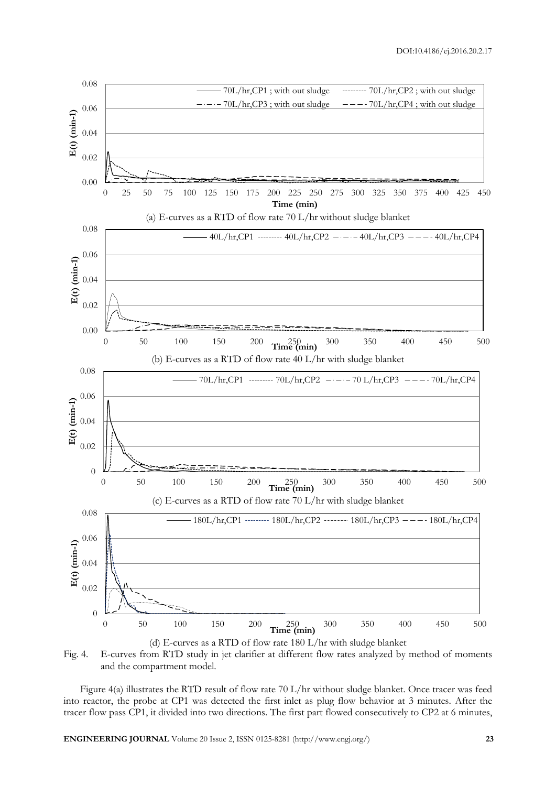

Fig. 4. E-curves from RTD study in jet clarifier at different flow rates analyzed by method of moments and the compartment model.

Figure 4(a) illustrates the RTD result of flow rate 70 L/hr without sludge blanket. Once tracer was feed into reactor, the probe at CP1 was detected the first inlet as plug flow behavior at 3 minutes. After the tracer flow pass CP1, it divided into two directions. The first part flowed consecutively to CP2 at 6 minutes,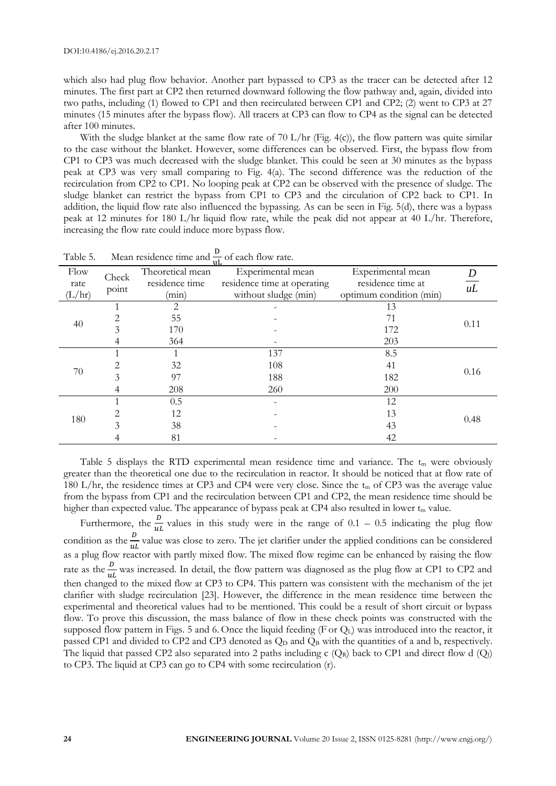which also had plug flow behavior. Another part bypassed to CP3 as the tracer can be detected after 12 minutes. The first part at CP2 then returned downward following the flow pathway and, again, divided into two paths, including (1) flowed to CP1 and then recirculated between CP1 and CP2; (2) went to CP3 at 27 minutes (15 minutes after the bypass flow). All tracers at CP3 can flow to CP4 as the signal can be detected after 100 minutes.

With the sludge blanket at the same flow rate of 70 L/hr (Fig. 4(c)), the flow pattern was quite similar to the case without the blanket. However, some differences can be observed. First, the bypass flow from CP1 to CP3 was much decreased with the sludge blanket. This could be seen at 30 minutes as the bypass peak at CP3 was very small comparing to Fig. 4(a). The second difference was the reduction of the recirculation from CP2 to CP1. No looping peak at CP2 can be observed with the presence of sludge. The sludge blanket can restrict the bypass from CP1 to CP3 and the circulation of CP2 back to CP1. In addition, the liquid flow rate also influenced the bypassing. As can be seen in Fig. 5(d), there was a bypass peak at 12 minutes for 180 L/hr liquid flow rate, while the peak did not appear at 40 L/hr. Therefore, increasing the flow rate could induce more bypass flow.

|        |       |                  | пL                          |                         |                 |
|--------|-------|------------------|-----------------------------|-------------------------|-----------------|
| Flow   | Check | Theoretical mean | Experimental mean           | Experimental mean       |                 |
| rate   | point | residence time   | residence time at operating | residence time at       | $\overline{uL}$ |
| (L/hr) |       | (min)            | without sludge (min)        | optimum condition (min) |                 |
|        |       | 2                |                             | 13                      |                 |
|        |       | 55               |                             | 71                      |                 |
| 40     | 3     | 170              |                             | 172                     | 0.11            |
|        |       | 364              |                             | 203                     |                 |
|        |       |                  | 137                         | 8.5                     |                 |
|        |       | 32               | 108                         | 41                      |                 |
| 70     | 3     | 97               | 188                         | 182                     | 0.16            |
|        |       | 208              | 260                         | 200                     |                 |
|        |       | 0.5              |                             | 12                      |                 |
|        |       | 12               |                             | 13                      |                 |
| 180    |       | 38               |                             | 43                      | 0.48            |
|        |       | 81               |                             | 42                      |                 |

Table 5. Mean residence time and  $\frac{b}{\mu}$  of each flow rate.

Table 5 displays the RTD experimental mean residence time and variance. The  $t_m$  were obviously greater than the theoretical one due to the recirculation in reactor. It should be noticed that at flow rate of 180 L/hr, the residence times at CP3 and CP4 were very close. Since the t<sub>m</sub> of CP3 was the average value from the bypass from CP1 and the recirculation between CP1 and CP2, the mean residence time should be higher than expected value. The appearance of bypass peak at CP4 also resulted in lower  $t_m$  value.

Furthermore, the  $\frac{b}{u}$  values in this study were in the range of 0.1 – 0.5 indicating the plug flow condition as the  $\frac{v}{u}$  value was close to zero. The jet clarifier under the applied conditions can be considered as a plug flow reactor with partly mixed flow. The mixed flow regime can be enhanced by raising the flow rate as the  $\frac{b}{u}$  was increased. In detail, the flow pattern was diagnosed as the plug flow at CP1 to CP2 and then changed to the mixed flow at CP3 to CP4. This pattern was consistent with the mechanism of the jet clarifier with sludge recirculation [23]. However, the difference in the mean residence time between the experimental and theoretical values had to be mentioned. This could be a result of short circuit or bypass flow. To prove this discussion, the mass balance of flow in these check points was constructed with the supposed flow pattern in Figs. 5 and 6. Once the liquid feeding (F or  $Q_L$ ) was introduced into the reactor, it passed CP1 and divided to CP2 and CP3 denoted as  $Q<sub>D</sub>$  and  $Q<sub>B</sub>$  with the quantities of a and b, respectively. The liquid that passed CP2 also separated into 2 paths including c  $(Q_R)$  back to CP1 and direct flow d  $(Q_l)$ to CP3. The liquid at CP3 can go to CP4 with some recirculation (r).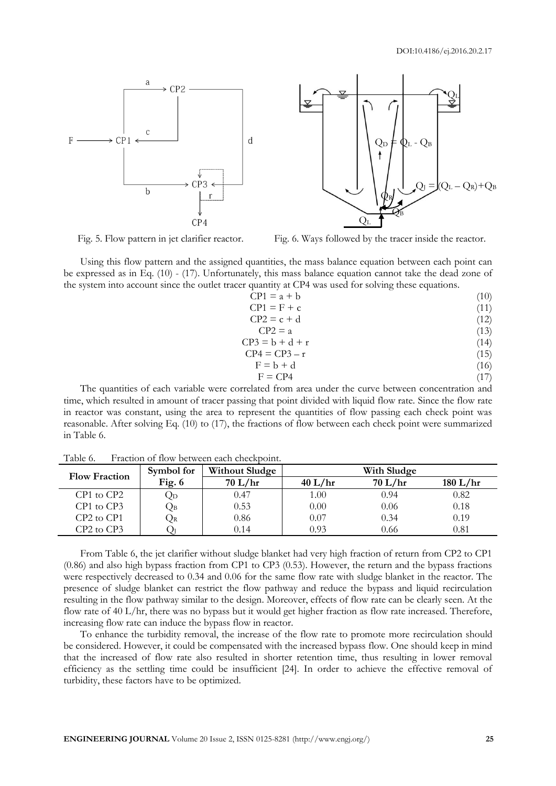

Fig. 5. Flow pattern in jet clarifier reactor. Fig. 6. Ways followed by the tracer inside the reactor.

Using this flow pattern and the assigned quantities, the mass balance equation between each point can be expressed as in Eq. (10) - (17). Unfortunately, this mass balance equation cannot take the dead zone of the system into account since the outlet tracer quantity at CP4 was used for solving these equations.

| (10)<br>$CP1 = a + b$ |
|-----------------------|
|                       |

 $CP1 = F + c$  (11)  $CP2 = c + d$  (12)

$$
PZ - C + d \tag{12}
$$
  
CP2 = a \tag{13}

$$
CP3 = b + d + r \tag{14}
$$

$$
CP4 = CP3 - r \tag{15}
$$

$$
F = b + d \tag{16}
$$

$$
F = CP4 \tag{17}
$$

The quantities of each variable were correlated from area under the curve between concentration and time, which resulted in amount of tracer passing that point divided with liquid flow rate. Since the flow rate in reactor was constant, using the area to represent the quantities of flow passing each check point was reasonable. After solving Eq. (10) to (17), the fractions of flow between each check point were summarized in Table 6.

| Symbol for<br><b>Flow Fraction</b> |          | <b>Without Sludge</b> | With Sludge |         |          |  |  |
|------------------------------------|----------|-----------------------|-------------|---------|----------|--|--|
|                                    | Fig. $6$ | 70 L/hr               | 40 L/hr     | 70 L/hr | 180 L/hr |  |  |
| CP1 to CP2                         | Qd       | 0.47                  | 1.00        | 0.94    | 0.82     |  |  |
| CP1 to CP3                         | Qв       | 0.53                  | 0.00        | 0.06    | 0.18     |  |  |
| $CP2$ to $CP1$                     | ₹R       | 0.86                  | 0.07        | 0.34    | 0.19     |  |  |
| $CP2$ to $CP3$                     |          | 0.14                  | 0.93        | 0.66    | 0.81     |  |  |

Table 6. Fraction of flow between each checkpoint.

From Table 6, the jet clarifier without sludge blanket had very high fraction of return from CP2 to CP1 (0.86) and also high bypass fraction from CP1 to CP3 (0.53). However, the return and the bypass fractions were respectively decreased to 0.34 and 0.06 for the same flow rate with sludge blanket in the reactor. The presence of sludge blanket can restrict the flow pathway and reduce the bypass and liquid recirculation resulting in the flow pathway similar to the design. Moreover, effects of flow rate can be clearly seen. At the flow rate of 40 L/hr, there was no bypass but it would get higher fraction as flow rate increased. Therefore, increasing flow rate can induce the bypass flow in reactor.

To enhance the turbidity removal, the increase of the flow rate to promote more recirculation should be considered. However, it could be compensated with the increased bypass flow. One should keep in mind that the increased of flow rate also resulted in shorter retention time, thus resulting in lower removal efficiency as the settling time could be insufficient [24]. In order to achieve the effective removal of turbidity, these factors have to be optimized.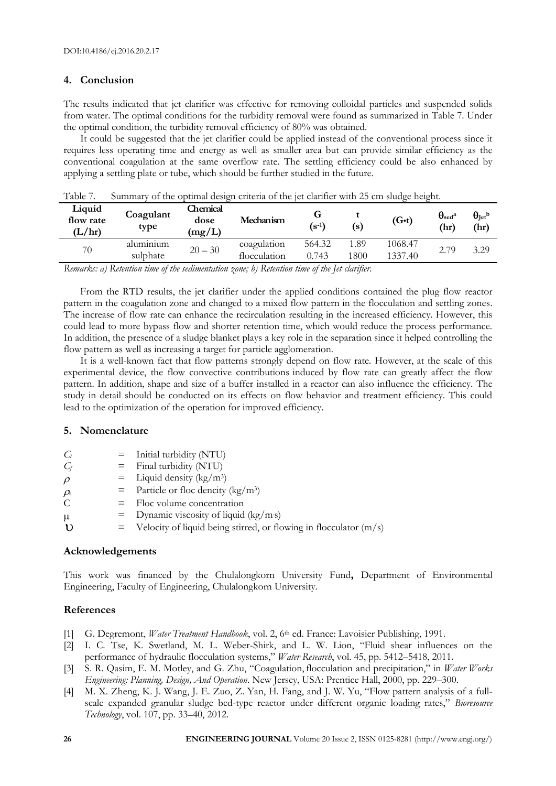# **4. Conclusion**

The results indicated that jet clarifier was effective for removing colloidal particles and suspended solids from water. The optimal conditions for the turbidity removal were found as summarized in Table 7. Under the optimal condition, the turbidity removal efficiency of 80% was obtained.

It could be suggested that the jet clarifier could be applied instead of the conventional process since it requires less operating time and energy as well as smaller area but can provide similar efficiency as the conventional coagulation at the same overflow rate. The settling efficiency could be also enhanced by applying a settling plate or tube, which should be further studied in the future.

| 1 adie 7.                     | Summary of the optimal design criteria of the jet clarifier with 25 cm sludge height. |                            |                             |                                                           |              |                    |                                         |                            |  |
|-------------------------------|---------------------------------------------------------------------------------------|----------------------------|-----------------------------|-----------------------------------------------------------|--------------|--------------------|-----------------------------------------|----------------------------|--|
| Liquid<br>flow rate<br>(L/hr) | Coagulant<br>type                                                                     | Chemical<br>dose<br>(mg/L) | Mechanism                   | G<br>$(s^{-1})$                                           | (s)          | $(G-t)$            | $\theta_{\rm sed}$ <sup>a</sup><br>(hr) | $\theta_{\rm Jet}$<br>(hr) |  |
| 70                            | alumınıum<br>sulphate                                                                 | $20 - 30$                  | coagulation<br>flocculation | 564.32<br>0.743                                           | 1.89<br>1800 | 1068.47<br>1337.40 | 2.79                                    | 3.29                       |  |
| $\mathbf{r}$                  | $\mathbf{m}$ . $\mathbf{r}$ . $\mathbf{r}$                                            | $\mathbf{r}$               | $\mathbf{v}$                | $\mathcal{L} \cdot I$ $\mathcal{T} \cdot I$ $\mathcal{L}$ |              |                    |                                         |                            |  |

| Table 7. |  | Summary of the optimal design criteria of the jet clarifier with 25 cm sludge height. |  |
|----------|--|---------------------------------------------------------------------------------------|--|
|          |  |                                                                                       |  |

*Remarks: a) Retention time of the sedimentation zone; b) Retention time of the Jet clarifier.*

From the RTD results, the jet clarifier under the applied conditions contained the plug flow reactor pattern in the coagulation zone and changed to a mixed flow pattern in the flocculation and settling zones. The increase of flow rate can enhance the recirculation resulting in the increased efficiency. However, this could lead to more bypass flow and shorter retention time, which would reduce the process performance. In addition, the presence of a sludge blanket plays a key role in the separation since it helped controlling the flow pattern as well as increasing a target for particle agglomeration.

It is a well-known fact that flow patterns strongly depend on flow rate. However, at the scale of this experimental device, the flow convective contributions induced by flow rate can greatly affect the flow pattern. In addition, shape and size of a buffer installed in a reactor can also influence the efficiency. The study in detail should be conducted on its effects on flow behavior and treatment efficiency. This could lead to the optimization of the operation for improved efficiency.

# **5. Nomenclature**

| C <sub>i</sub>            | $=$ Initial turbidity (NTU)                       |
|---------------------------|---------------------------------------------------|
| $\mathit{C}_{\textit{f}}$ | $=$ Final turbidity (NTU)                         |
| $\rho$                    | $=$ Liquid density (kg/m <sup>3</sup> )           |
| $\rho_{\text{\tiny S}}$   | $=$ Particle or floc dencity (kg/m <sup>3</sup> ) |
| C                         | $=$ Floc volume concentration                     |
|                           |                                                   |

- $\mu$  = Dynamic viscosity of liquid (kg/m·s)
- $\mathbf{U}$  = Velocity of liquid being stirred, or flowing in flocculator (m/s)

# **Acknowledgements**

This work was financed by the Chulalongkorn University Fund**,** Department of Environmental Engineering, Faculty of Engineering, Chulalongkorn University.

# **References**

- [1] G. Degremont, *Water Treatment Handbook*, vol. 2, 6<sup>th</sup> ed. France: Lavoisier Publishing, 1991.
- [2] I. C. Tse, K. Swetland, M. L. Weber-Shirk, and L. W. Lion, "Fluid shear influences on the performance of hydraulic flocculation systems," *Water Research*, vol. 45, pp. 5412–5418, 2011.
- [3] S. R. Qasim, E. M. Motley, and G. Zhu, "Coagulation,flocculation and precipitation," in *Water Works Engineering: Planning, Design, And Operation*. New Jersey, USA: Prentice Hall, 2000, pp. 229–300.
- [4] M. X. Zheng, K. J. Wang, J. E. Zuo, Z. Yan, H. Fang, and J. W. Yu, "Flow pattern analysis of a fullscale expanded granular sludge bed-type reactor under different organic loading rates," *Bioresource Technology*, vol. 107, pp. 33–40, 2012.